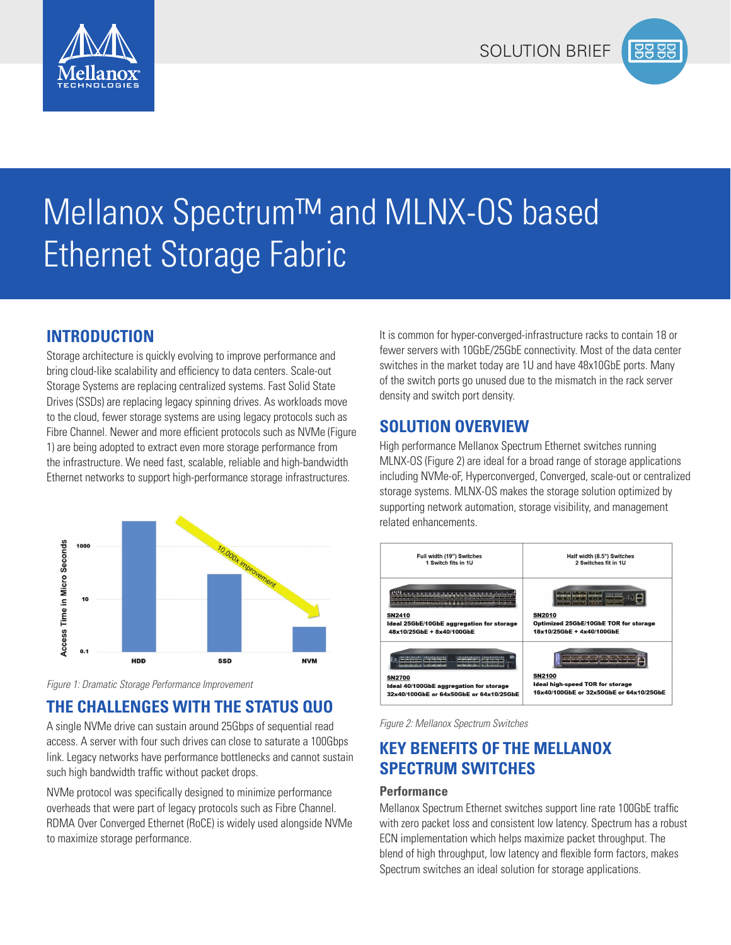



# Mellanox Spectrum™ and MLNX-OS based Ethernet Storage Fabric

# **INTRODUCTION**

Storage architecture is quickly evolving to improve performance and bring cloud-like scalability and efficiency to data centers. Scale-out Storage Systems are replacing centralized systems. Fast Solid State Drives (SSDs) are replacing legacy spinning drives. As workloads move to the cloud, fewer storage systems are using legacy protocols such as Fibre Channel. Newer and more efficient protocols such as NVMe (Figure 1) are being adopted to extract even more storage performance from the infrastructure. We need fast, scalable, reliable and high-bandwidth Ethernet networks to support high-performance storage infrastructures.



*Figure 1: Dramatic Storage Performance Improvement*

# **THE CHALLENGES WITH THE STATUS QUO**

A single NVMe drive can sustain around 25Gbps of sequential read access. A server with four such drives can close to saturate a 100Gbps link. Legacy networks have performance bottlenecks and cannot sustain such high bandwidth traffic without packet drops.

NVMe protocol was specifically designed to minimize performance overheads that were part of legacy protocols such as Fibre Channel. RDMA Over Converged Ethernet (RoCE) is widely used alongside NVMe to maximize storage performance.

It is common for hyper-converged-infrastructure racks to contain 18 or fewer servers with 10GbE/25GbE connectivity. Most of the data center switches in the market today are 1U and have 48x10GbE ports. Many of the switch ports go unused due to the mismatch in the rack server density and switch port density.

## **SOLUTION OVERVIEW**

High performance Mellanox Spectrum Ethernet switches running MLNX-OS (Figure 2) are ideal for a broad range of storage applications including NVMe-oF, Hyperconverged, Converged, scale-out or centralized storage systems. MLNX-OS makes the storage solution optimized by supporting network automation, storage visibility, and management related enhancements.



*Figure 2: Mellanox Spectrum Switches*

# **KEY BENEFITS OF THE MELLANOX SPECTRUM SWITCHES**

## **Performance**

Mellanox Spectrum Ethernet switches support line rate 100GbE traffic with zero packet loss and consistent low latency. Spectrum has a robust ECN implementation which helps maximize packet throughput. The blend of high throughput, low latency and flexible form factors, makes Spectrum switches an ideal solution for storage applications.